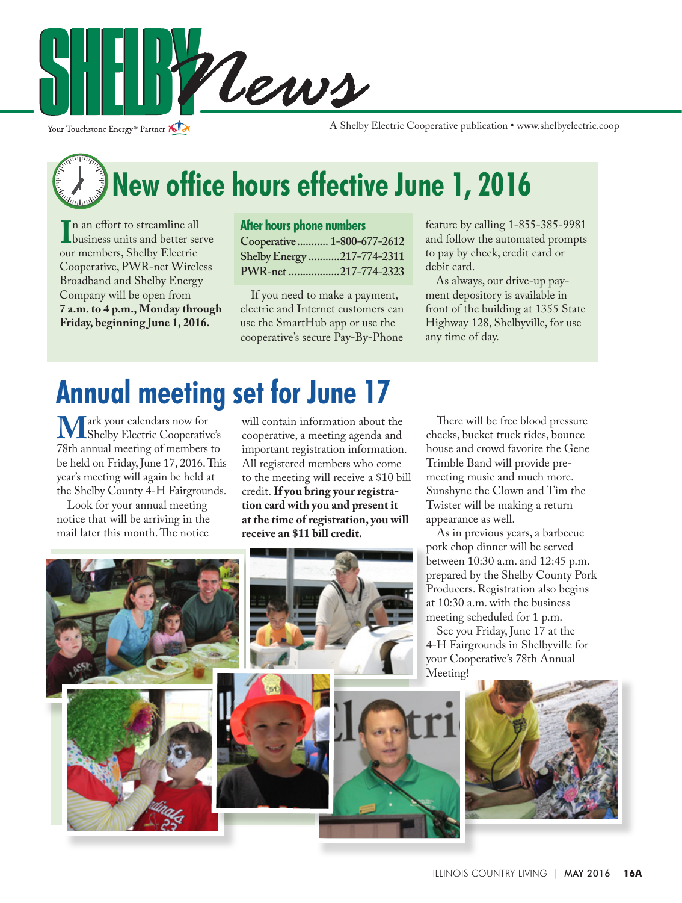

Your Touchstone Energy® Partner

A Shelby Electric Cooperative publication • www.shelbyelectric.coop

# **New office hours effective June 1, 2016**

In an errort to streamline all<br>business units and better serve<br>our members Shelby Electric n an effort to streamline all our members, Shelby Electric Cooperative, PWR-net Wireless Broadband and Shelby Energy Company will be open from **7 a.m. to 4 p.m., Monday through Friday, beginning June 1, 2016.**

#### **After hours phone numbers**

**Cooperative........... 1-800-677-2612 Shelby Energy ...........217-774-2311 PWR-net ..................217-774-2323** 

 If you need to make a payment, electric and Internet customers can use the SmartHub app or use the cooperative's secure Pay-By-Phone

feature by calling 1-855-385-9981 and follow the automated prompts to pay by check, credit card or debit card.

 As always, our drive-up payment depository is available in front of the building at 1355 State Highway 128, Shelbyville, for use any time of day.

### **Annual meeting set for June 17**

**M** ark your calendars now for<br>
T8th annual meeting of members to 78th annual meeting of members to be held on Friday, June 17, 2016. This year's meeting will again be held at the Shelby County 4-H Fairgrounds.

 Look for your annual meeting notice that will be arriving in the mail later this month. The notice

will contain information about the cooperative, a meeting agenda and important registration information. All registered members who come to the meeting will receive a \$10 bill credit. **If you bring your registration card with you and present it at the time of registration, you will receive an \$11 bill credit.**

 There will be free blood pressure checks, bucket truck rides, bounce house and crowd favorite the Gene Trimble Band will provide premeeting music and much more. Sunshyne the Clown and Tim the Twister will be making a return appearance as well.

 As in previous years, a barbecue pork chop dinner will be served between 10:30 a.m. and 12:45 p.m. prepared by the Shelby County Pork Producers. Registration also begins at 10:30 a.m. with the business meeting scheduled for 1 p.m.

 See you Friday, June 17 at the 4-H Fairgrounds in Shelbyville for your Cooperative's 78th Annual Meeting!

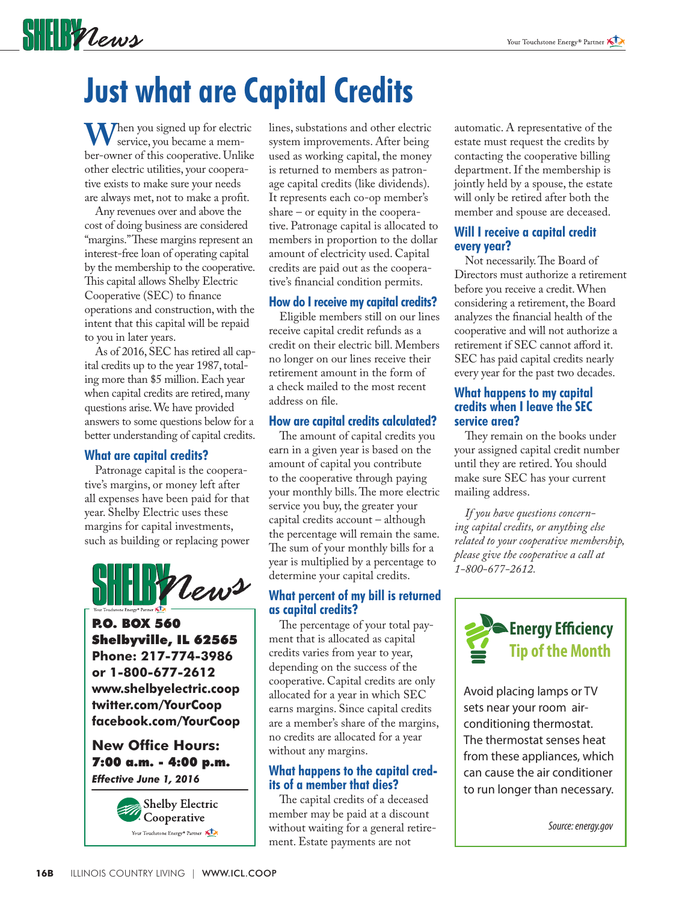### **SHELF** Vews

## **Just what are Capital Credits**

**W**hen you signed up for electric service, you became a member-owner of this cooperative. Unlike other electric utilities, your cooperative exists to make sure your needs are always met, not to make a profit.

 Any revenues over and above the cost of doing business are considered "margins." These margins represent an interest-free loan of operating capital by the membership to the cooperative. This capital allows Shelby Electric Cooperative (SEC) to finance operations and construction, with the intent that this capital will be repaid to you in later years.

 As of 2016, SEC has retired all capital credits up to the year 1987, totaling more than \$5 million. Each year when capital credits are retired, many questions arise. We have provided answers to some questions below for a better understanding of capital credits.

#### **What are capital credits?**

 Patronage capital is the cooperative's margins, or money left after all expenses have been paid for that year. Shelby Electric uses these margins for capital investments, such as building or replacing power



P.O. BOX 560 Shelbyville, IL 62565 **Phone: 217-774-3986 or 1-800-677-2612 www.shelbyelectric.coop twitter.com/YourCoop facebook.com/YourCoop**

#### **New Office Hours:** 7:00 a.m. - 4:00 p.m. *Effective June 1, 2016*



lines, substations and other electric system improvements. After being used as working capital, the money is returned to members as patronage capital credits (like dividends). It represents each co-op member's share – or equity in the cooperative. Patronage capital is allocated to members in proportion to the dollar amount of electricity used. Capital credits are paid out as the cooperative's financial condition permits.

#### **How do I receive my capital credits?**

 Eligible members still on our lines receive capital credit refunds as a credit on their electric bill. Members no longer on our lines receive their retirement amount in the form of a check mailed to the most recent address on file.

#### **How are capital credits calculated?**

 The amount of capital credits you earn in a given year is based on the amount of capital you contribute to the cooperative through paying your monthly bills. The more electric service you buy, the greater your capital credits account – although the percentage will remain the same. The sum of your monthly bills for a year is multiplied by a percentage to determine your capital credits.

#### **What percent of my bill is returned as capital credits?**

 The percentage of your total payment that is allocated as capital credits varies from year to year, depending on the success of the cooperative. Capital credits are only allocated for a year in which SEC earns margins. Since capital credits are a member's share of the margins, no credits are allocated for a year without any margins.

### **What happens to the capital cred- its of a member that dies?**

 The capital credits of a deceased member may be paid at a discount without waiting for a general retirement. Estate payments are not

automatic. A representative of the estate must request the credits by contacting the cooperative billing department. If the membership is jointly held by a spouse, the estate will only be retired after both the member and spouse are deceased.

#### **Will I receive a capital credit every year?**

 Not necessarily. The Board of Directors must authorize a retirement before you receive a credit. When considering a retirement, the Board analyzes the financial health of the cooperative and will not authorize a retirement if SEC cannot afford it. SEC has paid capital credits nearly every year for the past two decades.

#### **What happens to my capital credits when I leave the SEC service area?**

 They remain on the books under your assigned capital credit number until they are retired. You should make sure SEC has your current mailing address.

 *If you have questions concerning capital credits, or anything else related to your cooperative membership, please give the cooperative a call at 1-800-677-2612.*



Avoid placing lamps or TV sets near your room airconditioning thermostat. The thermostat senses heat from these appliances, which can cause the air conditioner to run longer than necessary.

*Source: energy.gov*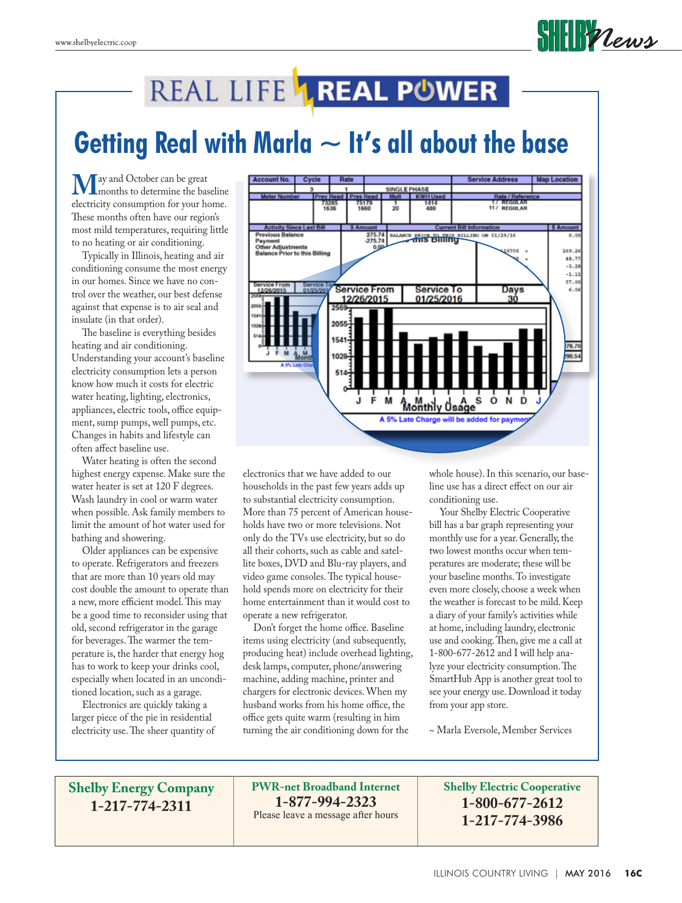

### REAL LIFE LREAL POWER

### **Getting Real with Marla ~ It's all about the base**

**M**ay and October can be great<br>electricity consumption for your home electricity consumption for your home. These months often have our region's most mild temperatures, requiring little to no heating or air conditioning.

 Typically in Illinois, heating and air conditioning consume the most energy in our homes. Since we have no control over the weather, our best defense against that expense is to air seal and insulate (in that order).

 The baseline is everything besides heating and air conditioning. Understanding your account's baseline electricity consumption lets a person know how much it costs for electric water heating, lighting, electronics, appliances, electric tools, office equipment, sump pumps, well pumps, etc. Changes in habits and lifestyle can often affect baseline use.

 Water heating is often the second highest energy expense. Make sure the water heater is set at 120 F degrees. Wash laundry in cool or warm water when possible. Ask family members to limit the amount of hot water used for bathing and showering.

 Older appliances can be expensive to operate. Refrigerators and freezers that are more than 10 years old may cost double the amount to operate than a new, more efficient model. This may be a good time to reconsider using that old, second refrigerator in the garage for beverages. The warmer the temperature is, the harder that energy hog has to work to keep your drinks cool, especially when located in an unconditioned location, such as a garage.

 Electronics are quickly taking a larger piece of the pie in residential electricity use. The sheer quantity of



electronics that we have added to our households in the past few years adds up to substantial electricity consumption. More than 75 percent of American households have two or more televisions. Not only do the TVs use electricity, but so do all their cohorts, such as cable and satellite boxes, DVD and Blu-ray players, and video game consoles. The typical household spends more on electricity for their home entertainment than it would cost to operate a new refrigerator.

 Don't forget the home office. Baseline items using electricity (and subsequently, producing heat) include overhead lighting, desk lamps, computer, phone/answering machine, adding machine, printer and chargers for electronic devices. When my husband works from his home office, the office gets quite warm (resulting in him turning the air conditioning down for the

whole house). In this scenario, our baseline use has a direct effect on our air conditioning use.

 Your Shelby Electric Cooperative bill has a bar graph representing your monthly use for a year. Generally, the two lowest months occur when temperatures are moderate; these will be your baseline months. To investigate even more closely, choose a week when the weather is forecast to be mild. Keep a diary of your family's activities while at home, including laundry, electronic use and cooking. Then, give me a call at 1-800-677-2612 and I will help analyze your electricity consumption. The SmartHub App is another great tool to see your energy use. Download it today from your app store.

~ Marla Eversole, Member Services

**Shelby Energy Company 1-217-774-2311**

**PWR-net Broadband Internet 1-877-994-2323** Please leave a message after hours

**Shelby Electric Cooperative 1-800-677-2612 1-217-774-3986**